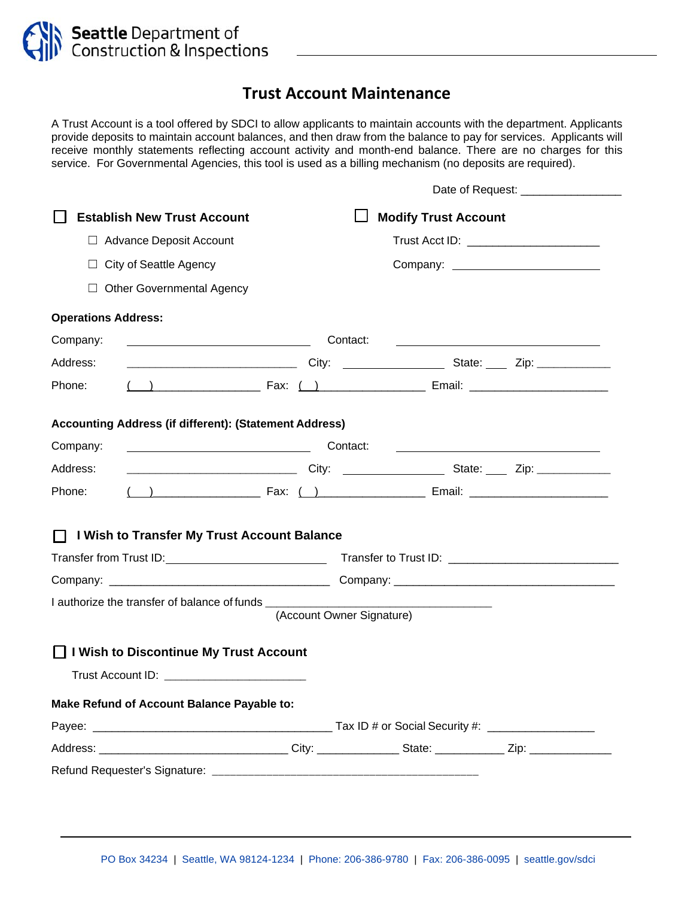

## **Trust Account Maintenance**

A Trust Account is a tool offered by SDCI to allow applicants to maintain accounts with the department. Applicants provide deposits to maintain account balances, and then draw from the balance to pay for services. Applicants will receive monthly statements reflecting account activity and month-end balance. There are no charges for this service. For Governmental Agencies, this tool is used as a billing mechanism (no deposits are required).

|                                                                                                                                  |                           |                                                                                                                                                                                                                               | Date of Request: __________________                                                                                  |
|----------------------------------------------------------------------------------------------------------------------------------|---------------------------|-------------------------------------------------------------------------------------------------------------------------------------------------------------------------------------------------------------------------------|----------------------------------------------------------------------------------------------------------------------|
| <b>Establish New Trust Account</b>                                                                                               |                           | <b>Modify Trust Account</b>                                                                                                                                                                                                   |                                                                                                                      |
| $\Box$ Advance Deposit Account                                                                                                   |                           | Trust Acct ID: _________________________                                                                                                                                                                                      |                                                                                                                      |
| $\Box$ City of Seattle Agency                                                                                                    |                           |                                                                                                                                                                                                                               |                                                                                                                      |
| $\Box$ Other Governmental Agency                                                                                                 |                           |                                                                                                                                                                                                                               |                                                                                                                      |
| <b>Operations Address:</b>                                                                                                       |                           |                                                                                                                                                                                                                               |                                                                                                                      |
| <u> Alexandria de la contrada de la contrada de la contrada de la contrada de la contrada de la contrada de la c</u><br>Company: | Contact:                  |                                                                                                                                                                                                                               | <u> Alexandria de la contexta de la contexta de la contexta de la contexta de la contexta de la contexta de la c</u> |
| Address:                                                                                                                         |                           | ___________________________________City: _____________________State: ______ Zip: __________________                                                                                                                           |                                                                                                                      |
| Phone:                                                                                                                           |                           |                                                                                                                                                                                                                               |                                                                                                                      |
| <b>Accounting Address (if different): (Statement Address)</b>                                                                    |                           |                                                                                                                                                                                                                               |                                                                                                                      |
| Contact:<br>Company:                                                                                                             |                           |                                                                                                                                                                                                                               | <u> 1990 - Johann Barn, amerikansk politiker (</u>                                                                   |
| Address:                                                                                                                         |                           | __________________________________City: _____________________State: ______ Zip: ______________                                                                                                                                |                                                                                                                      |
| Phone:                                                                                                                           |                           | ( ) Tax: ( ) The Email: 2008. Email: 2008. Email: 2008. All 2014. All 2014. Email: 2014. All 2014. All 2014. Email: 2014. All 2014. All 2014. All 2014. All 2014. All 2014. All 2014. All 2014. All 2014. All 2014. All 2014. |                                                                                                                      |
| I Wish to Transfer My Trust Account Balance<br>$\perp$                                                                           |                           |                                                                                                                                                                                                                               |                                                                                                                      |
|                                                                                                                                  |                           |                                                                                                                                                                                                                               |                                                                                                                      |
|                                                                                                                                  |                           |                                                                                                                                                                                                                               |                                                                                                                      |
| I authorize the transfer of balance of funds ___________________________________                                                 |                           |                                                                                                                                                                                                                               |                                                                                                                      |
|                                                                                                                                  | (Account Owner Signature) |                                                                                                                                                                                                                               |                                                                                                                      |
| □ I Wish to Discontinue My Trust Account                                                                                         |                           |                                                                                                                                                                                                                               |                                                                                                                      |
| Trust Account ID: __________________________                                                                                     |                           |                                                                                                                                                                                                                               |                                                                                                                      |
| Make Refund of Account Balance Payable to:                                                                                       |                           |                                                                                                                                                                                                                               |                                                                                                                      |
|                                                                                                                                  |                           |                                                                                                                                                                                                                               |                                                                                                                      |
| Address: __________________________________City: _______________State: ______________Zip: _______________                        |                           |                                                                                                                                                                                                                               |                                                                                                                      |
|                                                                                                                                  |                           |                                                                                                                                                                                                                               |                                                                                                                      |
|                                                                                                                                  |                           |                                                                                                                                                                                                                               |                                                                                                                      |